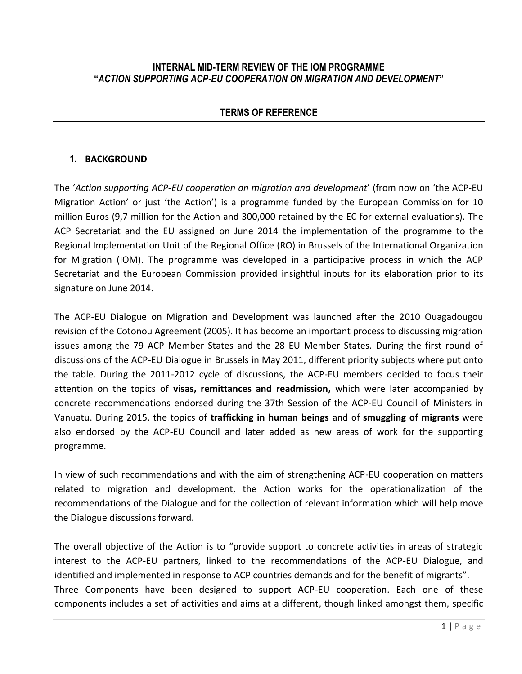#### **INTERNAL MID-TERM REVIEW OF THE IOM PROGRAMME "***ACTION SUPPORTING ACP-EU COOPERATION ON MIGRATION AND DEVELOPMENT***"**

### **TERMS OF REFERENCE**

#### **1. BACKGROUND**

The '*Action supporting ACP-EU cooperation on migration and development*' (from now on 'the ACP-EU Migration Action' or just 'the Action') is a programme funded by the European Commission for 10 million Euros (9,7 million for the Action and 300,000 retained by the EC for external evaluations). The ACP Secretariat and the EU assigned on June 2014 the implementation of the programme to the Regional Implementation Unit of the Regional Office (RO) in Brussels of the International Organization for Migration (IOM). The programme was developed in a participative process in which the ACP Secretariat and the European Commission provided insightful inputs for its elaboration prior to its signature on June 2014.

The ACP-EU Dialogue on Migration and Development was launched after the 2010 Ouagadougou revision of the Cotonou Agreement (2005). It has become an important process to discussing migration issues among the 79 ACP Member States and the 28 EU Member States. During the first round of discussions of the ACP-EU Dialogue in Brussels in May 2011, different priority subjects where put onto the table. During the 2011-2012 cycle of discussions, the ACP-EU members decided to focus their attention on the topics of **visas, remittances and readmission,** which were later accompanied by concrete recommendations endorsed during the 37th Session of the ACP-EU Council of Ministers in Vanuatu. During 2015, the topics of **trafficking in human beings** and of **smuggling of migrants** were also endorsed by the ACP-EU Council and later added as new areas of work for the supporting programme.

In view of such recommendations and with the aim of strengthening ACP-EU cooperation on matters related to migration and development, the Action works for the operationalization of the recommendations of the Dialogue and for the collection of relevant information which will help move the Dialogue discussions forward.

The overall objective of the Action is to "provide support to concrete activities in areas of strategic interest to the ACP-EU partners, linked to the recommendations of the ACP-EU Dialogue, and identified and implemented in response to ACP countries demands and for the benefit of migrants". Three Components have been designed to support ACP-EU cooperation. Each one of these components includes a set of activities and aims at a different, though linked amongst them, specific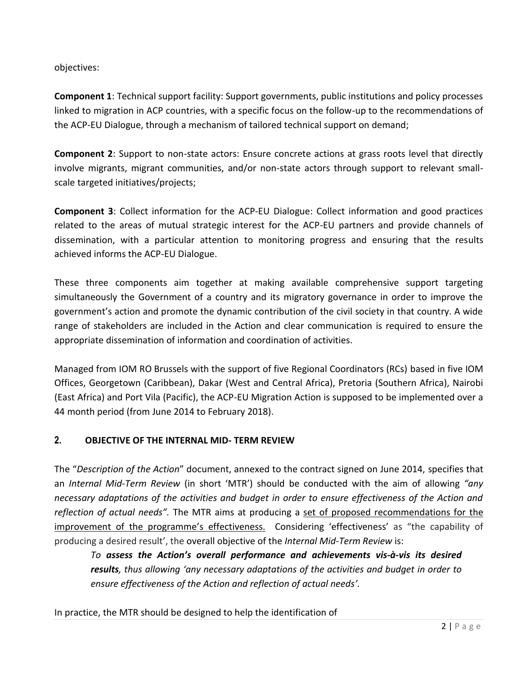objectives:

**Component 1**: Technical support facility: Support governments, public institutions and policy processes linked to migration in ACP countries, with a specific focus on the follow-up to the recommendations of the ACP-EU Dialogue, through a mechanism of tailored technical support on demand;

**Component 2**: Support to non-state actors: Ensure concrete actions at grass roots level that directly involve migrants, migrant communities, and/or non-state actors through support to relevant smallscale targeted initiatives/projects;

**Component 3**: Collect information for the ACP-EU Dialogue: Collect information and good practices related to the areas of mutual strategic interest for the ACP-EU partners and provide channels of dissemination, with a particular attention to monitoring progress and ensuring that the results achieved informs the ACP-EU Dialogue.

These three components aim together at making available comprehensive support targeting simultaneously the Government of a country and its migratory governance in order to improve the government's action and promote the dynamic contribution of the civil society in that country. A wide range of stakeholders are included in the Action and clear communication is required to ensure the appropriate dissemination of information and coordination of activities.

Managed from IOM RO Brussels with the support of five Regional Coordinators (RCs) based in five IOM Offices, Georgetown (Caribbean), Dakar (West and Central Africa), Pretoria (Southern Africa), Nairobi (East Africa) and Port Vila (Pacific), the ACP-EU Migration Action is supposed to be implemented over a 44 month period (from June 2014 to February 2018).

## **2. OBJECTIVE OF THE INTERNAL MID- TERM REVIEW**

The "*Description of the Action*" document, annexed to the contract signed on June 2014, specifies that an *Internal Mid-Term Review* (in short 'MTR') should be conducted with the aim of allowing *"any necessary adaptations of the activities and budget in order to ensure effectiveness of the Action and reflection of actual needs"*. The MTR aims at producing a set of proposed recommendations for the improvement of the programme's effectiveness. Considering 'effectiveness' as "the capability of producing a desired result', the overall objective of the *Internal Mid-Term Review* is:

*To assess the Action's overall performance and achievements vis-à-vis its desired results, thus allowing 'any necessary adaptations of the activities and budget in order to ensure effectiveness of the Action and reflection of actual needs'.*

In practice, the MTR should be designed to help the identification of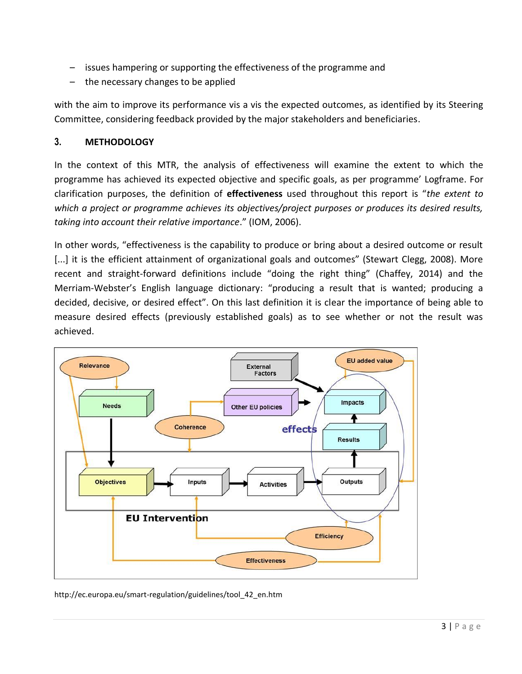- issues hampering or supporting the effectiveness of the programme and
- the necessary changes to be applied

with the aim to improve its performance vis a vis the expected outcomes, as identified by its Steering Committee, considering feedback provided by the major stakeholders and beneficiaries.

### **3. METHODOLOGY**

In the context of this MTR, the analysis of effectiveness will examine the extent to which the programme has achieved its expected objective and specific goals, as per programme' Logframe. For clarification purposes, the definition of **effectiveness** used throughout this report is "*the extent to which a project or programme achieves its objectives/project purposes or produces its desired results, taking into account their relative importance*." (IOM, 2006).

In other words, "effectiveness is the capability to produce or bring about a desired outcome or result [...] it is the efficient attainment of organizational goals and outcomes" (Stewart Clegg, 2008). More recent and straight-forward definitions include "doing the right thing" (Chaffey, 2014) and the Merriam-Webster's English language dictionary: "producing a result that is wanted; producing a decided, decisive, or desired effect". On this last definition it is clear the importance of being able to measure desired effects (previously established goals) as to see whether or not the result was achieved.



http://ec.europa.eu/smart-regulation/guidelines/tool\_42\_en.htm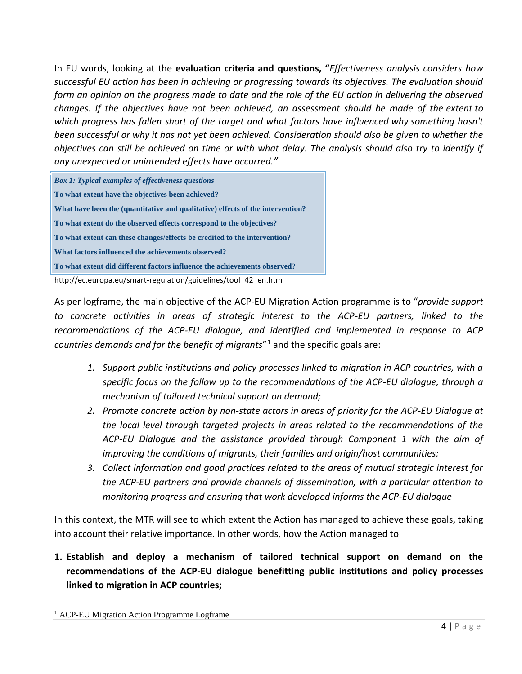In EU words, looking at the **evaluation criteria and questions, "***Effectiveness analysis considers how successful EU action has been in achieving or progressing towards its objectives. The evaluation should form an opinion on the progress made to date and the role of the EU action in delivering the observed changes. If the objectives have not been achieved, an assessment should be made of the extent to which progress has fallen short of the target and what factors have influenced why something hasn't been successful or why it has not yet been achieved. Consideration should also be given to whether the objectives can still be achieved on time or with what delay. The analysis should also try to identify if any unexpected or unintended effects have occurred."*

*Box 1: Typical examples of effectiveness questions* • **To what extent have the objectives been achieved?** • **What have been the (quantitative and qualitative) effects of the intervention?** • **To what extent do the observed effects correspond to the objectives?** • **To what extent can these changes/effects be credited to the intervention?** • **What factors influenced the achievements observed?** • **To what extent did different factors influence the achievements observed?**

http://ec.europa.eu/smart-regulation/guidelines/tool\_42\_en.htm

As per logframe, the main objective of the ACP-EU Migration Action programme is to "*provide support to concrete activities in areas of strategic interest to the ACP-EU partners, linked to the recommendations of the ACP-EU dialogue, and identified and implemented in response to ACP*  countries demands and for the benefit of migrants"<sup>1</sup> and the specific goals are:

- *1. Support public institutions and policy processes linked to migration in ACP countries, with a specific focus on the follow up to the recommendations of the ACP-EU dialogue, through a mechanism of tailored technical support on demand;*
- *2. Promote concrete action by non-state actors in areas of priority for the ACP-EU Dialogue at the local level through targeted projects in areas related to the recommendations of the ACP-EU Dialogue and the assistance provided through Component 1 with the aim of improving the conditions of migrants, their families and origin/host communities;*
- *3. Collect information and good practices related to the areas of mutual strategic interest for the ACP-EU partners and provide channels of dissemination, with a particular attention to monitoring progress and ensuring that work developed informs the ACP-EU dialogue*

In this context, the MTR will see to which extent the Action has managed to achieve these goals, taking into account their relative importance. In other words, how the Action managed to

**1. Establish and deploy a mechanism of tailored technical support on demand on the**  recommendations of the ACP-EU dialogue benefitting public institutions and policy processes **linked to migration in ACP countries;**

l

<sup>&</sup>lt;sup>1</sup> ACP-EU Migration Action Programme Logframe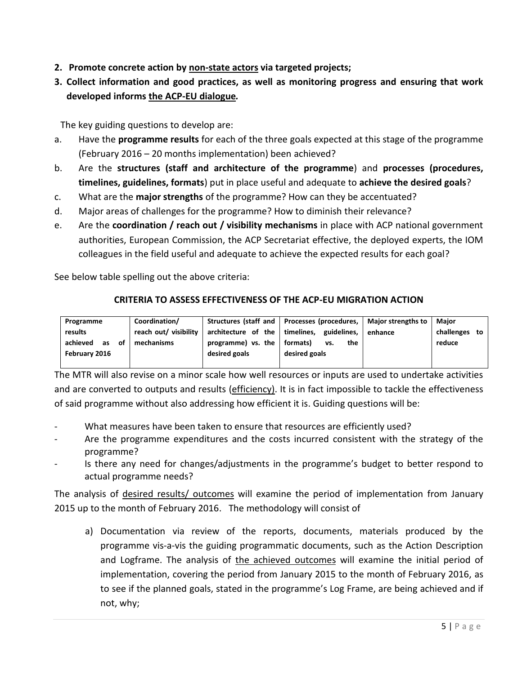- **2.** Promote concrete action by non-state actors via targeted projects;
- **3. Collect information and good practices, as well as monitoring progress and ensuring that work developed informs the ACP-EU dialogue.**

The key guiding questions to develop are:

- a. Have the **programme results** for each of the three goals expected at this stage of the programme (February 2016 – 20 months implementation) been achieved?
- b. Are the **structures (staff and architecture of the programme**) and **processes (procedures, timelines, guidelines, formats**) put in place useful and adequate to **achieve the desired goals**?
- c. What are the **major strengths** of the programme? How can they be accentuated?
- d. Major areas of challenges for the programme? How to diminish their relevance?
- e. Are the **coordination / reach out / visibility mechanisms** in place with ACP national government authorities, European Commission, the ACP Secretariat effective, the deployed experts, the IOM colleagues in the field useful and adequate to achieve the expected results for each goal?

See below table spelling out the above criteria:

#### **CRITERIA TO ASSESS EFFECTIVENESS OF THE ACP-EU MIGRATION ACTION**

| Programme            | Coordination/         |                                        | Structures (staff and   Processes (procedures,   Major strengths to |         | Maior            |
|----------------------|-----------------------|----------------------------------------|---------------------------------------------------------------------|---------|------------------|
| results              | reach out/ visibility | architecture of the $\vert$ timelines, | guidelines.                                                         | enhance | challenges<br>to |
| achieved<br>of<br>as | mechanisms            | programme) vs. the                     | formats)<br>the<br>vs.                                              |         | reduce           |
| February 2016        |                       | desired goals                          | desired goals                                                       |         |                  |
|                      |                       |                                        |                                                                     |         |                  |

The MTR will also revise on a minor scale how well resources or inputs are used to undertake activities and are converted to outputs and results (efficiency). It is in fact impossible to tackle the effectiveness of said programme without also addressing how efficient it is. Guiding questions will be:

- What measures have been taken to ensure that resources are efficiently used?
- Are the programme expenditures and the costs incurred consistent with the strategy of the programme?
- Is there any need for changes/adjustments in the programme's budget to better respond to actual programme needs?

The analysis of *desired results*/ outcomes will examine the period of implementation from January 2015 up to the month of February 2016. The methodology will consist of

a) Documentation via review of the reports, documents, materials produced by the programme vis-a-vis the guiding programmatic documents, such as the Action Description and Logframe. The analysis of the achieved outcomes will examine the initial period of implementation, covering the period from January 2015 to the month of February 2016, as to see if the planned goals, stated in the programme's Log Frame, are being achieved and if not, why;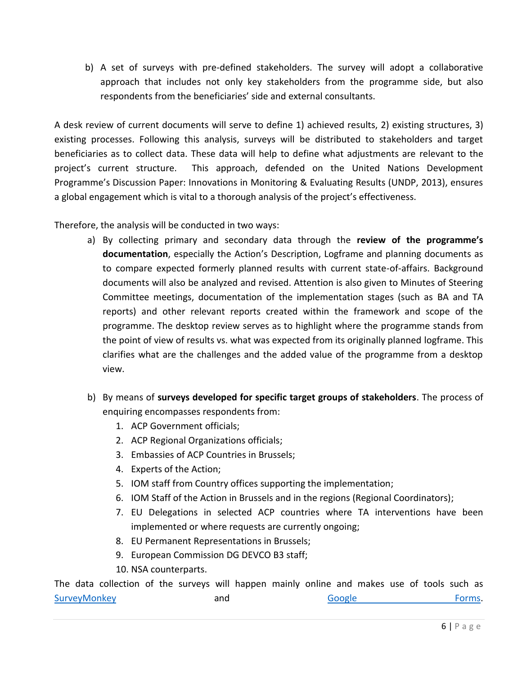b) A set of surveys with pre-defined stakeholders. The survey will adopt a collaborative approach that includes not only key stakeholders from the programme side, but also respondents from the beneficiaries' side and external consultants.

A desk review of current documents will serve to define 1) achieved results, 2) existing structures, 3) existing processes. Following this analysis, surveys will be distributed to stakeholders and target beneficiaries as to collect data. These data will help to define what adjustments are relevant to the project's current structure. This approach, defended on the United Nations Development Programme's Discussion Paper: Innovations in Monitoring & Evaluating Results (UNDP, 2013), ensures a global engagement which is vital to a thorough analysis of the project's effectiveness.

Therefore, the analysis will be conducted in two ways:

- a) By collecting primary and secondary data through the **review of the programme's documentation**, especially the Action's Description, Logframe and planning documents as to compare expected formerly planned results with current state-of-affairs. Background documents will also be analyzed and revised. Attention is also given to Minutes of Steering Committee meetings, documentation of the implementation stages (such as BA and TA reports) and other relevant reports created within the framework and scope of the programme. The desktop review serves as to highlight where the programme stands from the point of view of results vs. what was expected from its originally planned logframe. This clarifies what are the challenges and the added value of the programme from a desktop view.
- b) By means of **surveys developed for specific target groups of stakeholders**. The process of enquiring encompasses respondents from:
	- 1. ACP Government officials;
	- 2. ACP Regional Organizations officials;
	- 3. Embassies of ACP Countries in Brussels;
	- 4. Experts of the Action;
	- 5. IOM staff from Country offices supporting the implementation;
	- 6. IOM Staff of the Action in Brussels and in the regions (Regional Coordinators);
	- 7. EU Delegations in selected ACP countries where TA interventions have been implemented or where requests are currently ongoing;
	- 8. EU Permanent Representations in Brussels;
	- 9. European Commission DG DEVCO B3 staff;
	- 10. NSA counterparts.

The data collection of the surveys will happen mainly online and makes use of tools such as **34TU**[SurveyMonkey](https://nl.surveymonkey.com/) **34TU** and 37TU<sub>S</sub> Google 51TUS Forms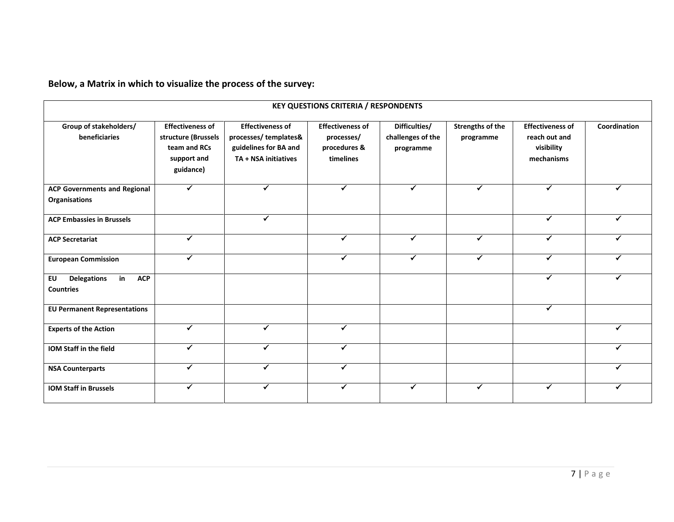**Below, a Matrix in which to visualize the process of the survey:**

| <b>KEY QUESTIONS CRITERIA / RESPONDENTS</b>                      |                                                                                            |                                                                                                  |                                                                    |                                                 |                                      |                                                                      |              |  |  |  |
|------------------------------------------------------------------|--------------------------------------------------------------------------------------------|--------------------------------------------------------------------------------------------------|--------------------------------------------------------------------|-------------------------------------------------|--------------------------------------|----------------------------------------------------------------------|--------------|--|--|--|
| Group of stakeholders/<br>beneficiaries                          | <b>Effectiveness of</b><br>structure (Brussels<br>team and RCs<br>support and<br>guidance) | <b>Effectiveness of</b><br>processes/templates&<br>guidelines for BA and<br>TA + NSA initiatives | <b>Effectiveness of</b><br>processes/<br>procedures &<br>timelines | Difficulties/<br>challenges of the<br>programme | <b>Strengths of the</b><br>programme | <b>Effectiveness of</b><br>reach out and<br>visibility<br>mechanisms | Coordination |  |  |  |
| <b>ACP Governments and Regional</b><br>Organisations             | ✔                                                                                          | $\checkmark$                                                                                     | ✓                                                                  | $\checkmark$                                    | $\checkmark$                         | ✓                                                                    |              |  |  |  |
| <b>ACP Embassies in Brussels</b>                                 |                                                                                            | ✓                                                                                                |                                                                    |                                                 |                                      | ✓                                                                    | ✓            |  |  |  |
| <b>ACP Secretariat</b>                                           | $\checkmark$                                                                               |                                                                                                  | ✓                                                                  | ✓                                               | $\checkmark$                         | ✓                                                                    |              |  |  |  |
| <b>European Commission</b>                                       |                                                                                            |                                                                                                  | ✓                                                                  | ✓                                               | ✓                                    |                                                                      |              |  |  |  |
| in<br><b>ACP</b><br><b>Delegations</b><br>EU<br><b>Countries</b> |                                                                                            |                                                                                                  |                                                                    |                                                 |                                      | ✓                                                                    | ✔            |  |  |  |
| <b>EU Permanent Representations</b>                              |                                                                                            |                                                                                                  |                                                                    |                                                 |                                      | ✓                                                                    |              |  |  |  |
| <b>Experts of the Action</b>                                     | ✓                                                                                          | ✔                                                                                                |                                                                    |                                                 |                                      |                                                                      |              |  |  |  |
| IOM Staff in the field                                           |                                                                                            |                                                                                                  |                                                                    |                                                 |                                      |                                                                      |              |  |  |  |
| <b>NSA Counterparts</b>                                          | ✓                                                                                          | ✓                                                                                                | ✓                                                                  |                                                 |                                      |                                                                      | ✔            |  |  |  |
| <b>IOM Staff in Brussels</b>                                     | ✔                                                                                          | ✓                                                                                                | ✔                                                                  | ✓                                               | ✓                                    | ✔                                                                    |              |  |  |  |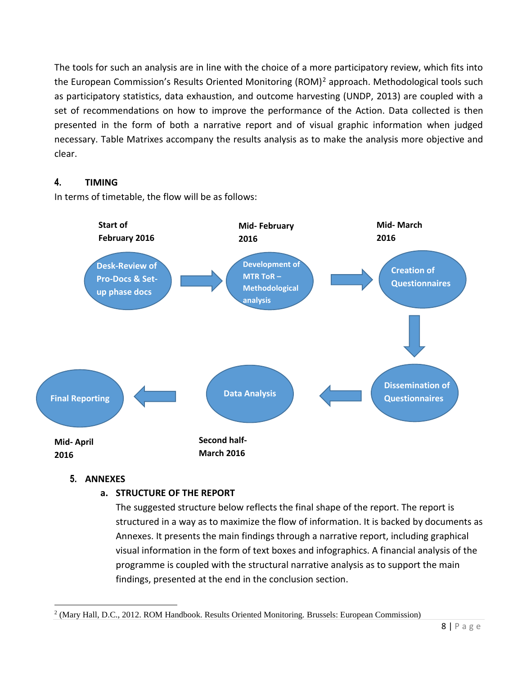The tools for such an analysis are in line with the choice of a more participatory review, which fits into the European Commission's Results Oriented Monitoring (ROM)<sup>2</sup> approach. Methodological tools such as participatory statistics, data exhaustion, and outcome harvesting (UNDP, 2013) are coupled with a set of recommendations on how to improve the performance of the Action. Data collected is then presented in the form of both a narrative report and of visual graphic information when judged necessary. Table Matrixes accompany the results analysis as to make the analysis more objective and clear.

# **4. TIMING**

In terms of timetable, the flow will be as follows:



## **5. ANNEXES**

## **a. STRUCTURE OF THE REPORT**

The suggested structure below reflects the final shape of the report. The report is structured in a way as to maximize the flow of information. It is backed by documents as Annexes. It presents the main findings through a narrative report, including graphical visual information in the form of text boxes and infographics. A financial analysis of the programme is coupled with the structural narrative analysis as to support the main findings, presented at the end in the conclusion section.

l <sup>2</sup> (Mary Hall, D.C., 2012. ROM Handbook. Results Oriented Monitoring. Brussels: European Commission)